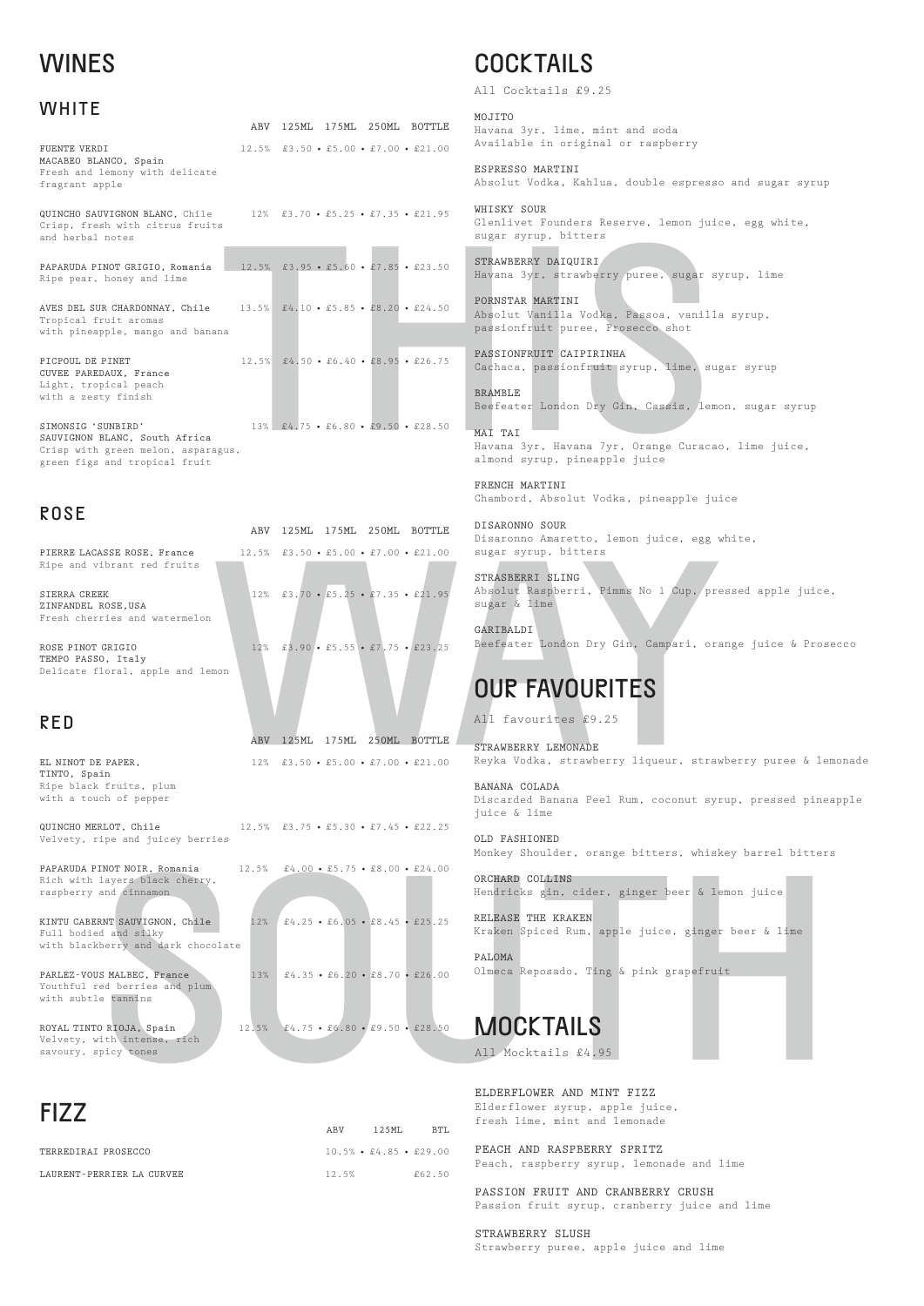### **WHITE**

|                                                                                                  | ABV   |                                         |  | 125ML 175ML 250ML BOTTLE       |
|--------------------------------------------------------------------------------------------------|-------|-----------------------------------------|--|--------------------------------|
| <b>FUENTE VERDI</b><br>MACABEO BLANCO, Spain<br>Fresh and lemony with delicate<br>fragrant apple |       | $12.5\%$ £3.50 · £5.00 · £7.00 · £21.00 |  |                                |
| QUINCHO SAUVIGNON BLANC, Chile<br>Crisp, fresh with citrus fruits<br>and herbal notes            |       | $12\%$ £3.70 · £5.25 · £7.35 · £21.95   |  |                                |
| PAPARUDA PINOT GRIGIO, Romania<br>Ripe pear, honey and lime                                      |       | $12.5\%$ £3.95 · £5.60 · £7.85 · £23.50 |  |                                |
| AVES DEL SUR CHARDONNAY, Chile<br>Tropical fruit aromas<br>with pineapple, mango and banana      |       | $13.5\%$ £4.10 • £5.85 • £8.20 • £24.50 |  |                                |
| PICPOUL DE PINET<br>CUVEE PAREDAUX, France<br>Light, tropical peach<br>with a zesty finish       | 12.5% |                                         |  | £4.50 • £6.40 • £8.95 • £26.75 |
| SIMONSIG 'SUNBIRD'<br>SAUVIGNON BLANC, South Africa<br>Crisp with green melon, asparagus,        |       | $13\%$ £4.75 • £6.80 • £9.50 • £28.50   |  |                                |

 ABV 125ML 175ML 250ML BOTTLE PIERRE LACASSE ROSE, France 12.5% £3.50 • £5.00 • £7.00 • £21.00 SIERRA CREEK 12% £3.70 • £5.25 • £7.35 • £21.95

ROSE PINOT GRIGIO 12% £3.90 • £5.55 • £7.75 • £23.25 TEMPO PASSO, Italy Delicate floral, apple and lemon

EL NINOT DE PAPER, 12% £3.50 • £5.00 • £7.00 • £21.00 TINTO, Spain Ripe black fruits, plum with a touch of pepper

green figs and tropical fruit

### ROSE

KINTU CABERNT SAUVIGNON, Chile  $12\%$   $\&4.25 \cdot \&6.05 \cdot \&8.45 \cdot \&25.25$ Full bodied and silky with blackberry and dark chocolate

Ripe and vibrant red fruits

 ABV 125ML BTL TERREDIRAI PROSECCO  $10.5\% \cdot \pounds4.85 \cdot \pounds29.00$ LAURENT-PERRIER LA CURVEE  $12.5\%$   $2.50$ 

ZINFANDEL ROSE,USA Fresh cherries and watermelon MOJITTO Havana 3yr, lime, mint and soda Available in original or raspberry

### RED

ABV 125ML 175ML 250ML BOTTLE

PARLEZ-VOUS MALBEC, France 13% £4.35 • £6.20 • £8.70 • £26.00

# WINES COCKTAILS

QUINCHO MERLOT, Chile 12.5% £3.75 • £5.30 • £7.45 • £22.25 Velvety, ripe and juicey berries

PAPARUDA PINOT NOIR, Romania 12.5% £4.00 • £5.75 • £8.00 • £24.00 Rich with layers black cherry, raspberry and cinnamon

Youthful red berries and plum with subtle tannins

Velvety, with intense, rich savoury, spicy tones

ROYAL TINTO RIOJA, Spain 12.5% £4.75 • £6.80 • £9.50 • £28.50 **MOCKTAILS** 

FIZZ

All Cocktails £9.25

ESPRESSO MARTINI Absolut Vodka, Kahlua, double espresso and sugar syrup

WHISKY SOUR Glenlivet Founders Reserve, lemon juice, egg white, sugar syrup, bitters

STRAWBERRY DAIQUIRI Havana 3yr, strawberry puree, sugar syrup, lime

PORNSTAR MARTINI Absolut Vanilla Vodka, Passoa, vanilla syrup, passionfruit puree, Prosecco shot

PASSIONFRUIT CAIPIRINHA Cachaca, passionfruit syrup, lime, sugar syrup

BRAMBLE Beefeater London Dry Gin, Cassis, lemon, sugar syrup

MAI TAI Havana 3yr, Havana 7yr, Orange Curacao, lime juice, almond syrup, pineapple juice

FRENCH MARTINI Chambord, Absolut Vodka, pineapple juice

DISARONNO SOUR Disaronno Amaretto, lemon juice, egg white, sugar syrup, bitters

STRASBERRI SLING Absolut Raspberri, Pimms No 1 Cup, pressed apple juice, sugar & lime

GARIBALDI Beefeater London Dry Gin, Campari, orange juice & Prosecco

All Mocktails £4.95

ELDERFLOWER AND MINT FIZZ Elderflower syrup, apple juice, fresh lime, mint and lemonade

PEACH AND RASPBERRY SPRITZ Peach, raspberry syrup, lemonade and lime

PASSION FRUIT AND CRANBERRY CRUSH Passion fruit syrup, cranberry juice and lime

STRAWBERRY SLUSH Strawberry puree, apple juice and lime

All favourites £9.25

STRAWBERRY LEMONADE Reyka Vodka, strawberry liqueur, strawberry puree & lemonade

BANANA COLADA Discarded Banana Peel Rum, coconut syrup, pressed pineapple juice & lime

OLD FASHIONED Monkey Shoulder, orange bitters, whiskey barrel bitters

ORCHARD COLLINS Hendricks gin, cider, ginger beer & lemon juice

RELEASE THE KRAKEN Kraken Spiced Rum, apple juice, ginger beer & lime

PALOMA Olmeca Reposado, Ting & pink grapefruit

## OUR FAVOURITES